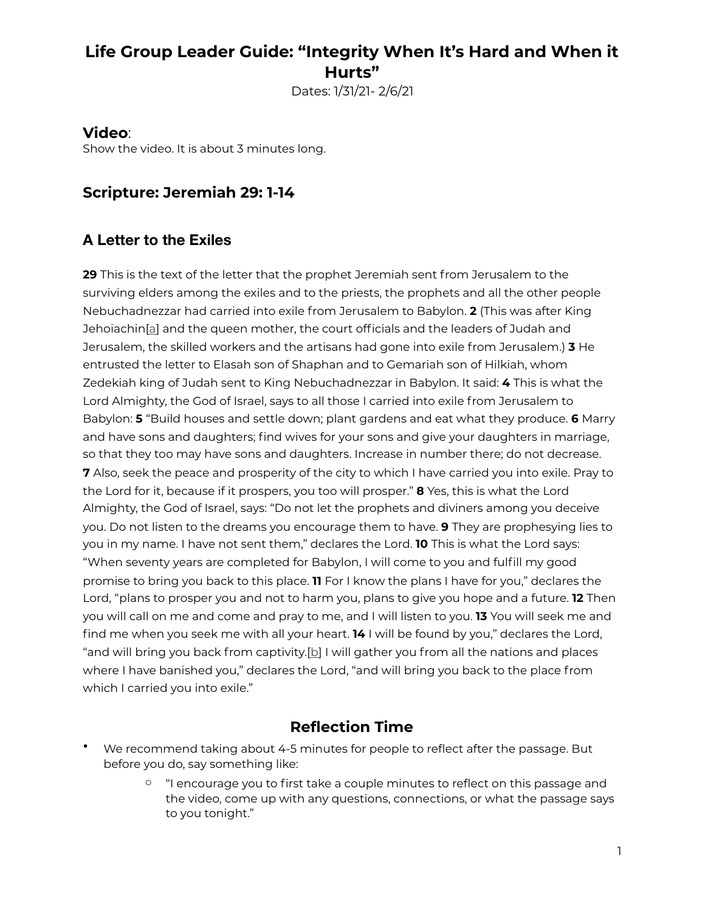## **Life Group Leader Guide: "Integrity When It's Hard and When it Hurts"**

Dates: 1/31/21- 2/6/21

#### **Video**:

Show the video. It is about 3 minutes long.

#### **Scripture: Jeremiah 29: 1-14**

#### **A Letter to the Exiles**

**29** This is the text of the letter that the prophet Jeremiah sent from Jerusalem to the surviving elders among the exiles and to the priests, the prophets and all the other people Nebuchadnezzar had carried into exile from Jerusalem to Babylon. **2** (This was after King Jehoiachin[a] and the queen mother, the court officials and the leaders of Judah and Jerusalem, the skilled workers and the artisans had gone into exile from Jerusalem.) **3** He entrusted the letter to Elasah son of Shaphan and to Gemariah son of Hilkiah, whom Zedekiah king of Judah sent to King Nebuchadnezzar in Babylon. It said: **4** This is what the Lord Almighty, the God of Israel, says to all those I carried into exile from Jerusalem to Babylon: **5** "Build houses and settle down; plant gardens and eat what they produce. **6** Marry and have sons and daughters; find wives for your sons and give your daughters in marriage, so that they too may have sons and daughters. Increase in number there; do not decrease. **7** Also, seek the peace and prosperity of the city to which I have carried you into exile. Pray to the Lord for it, because if it prospers, you too will prosper." **8** Yes, this is what the Lord Almighty, the God of Israel, says: "Do not let the prophets and diviners among you deceive you. Do not listen to the dreams you encourage them to have. **9** They are prophesying lies to you in my name. I have not sent them," declares the Lord. **10** This is what the Lord says: "When seventy years are completed for Babylon, I will come to you and fulfill my good promise to bring you back to this place. **11** For I know the plans I have for you," declares the Lord, "plans to prosper you and not to harm you, plans to give you hope and a future. **12** Then you will call on me and come and pray to me, and I will listen to you. **13** You will seek me and find me when you seek me with all your heart. **14** I will be found by you," declares the Lord, "and will bring you back from captivity.[b] I will gather you from all the nations and places where I have banished you," declares the Lord, "and will bring you back to the place from which I carried you into exile."

### **Reflection Time**

- We recommend taking about 4-5 minutes for people to reflect after the passage. But before you do, say something like:
	- $\degree$  "I encourage you to first take a couple minutes to reflect on this passage and the video, come up with any questions, connections, or what the passage says to you tonight."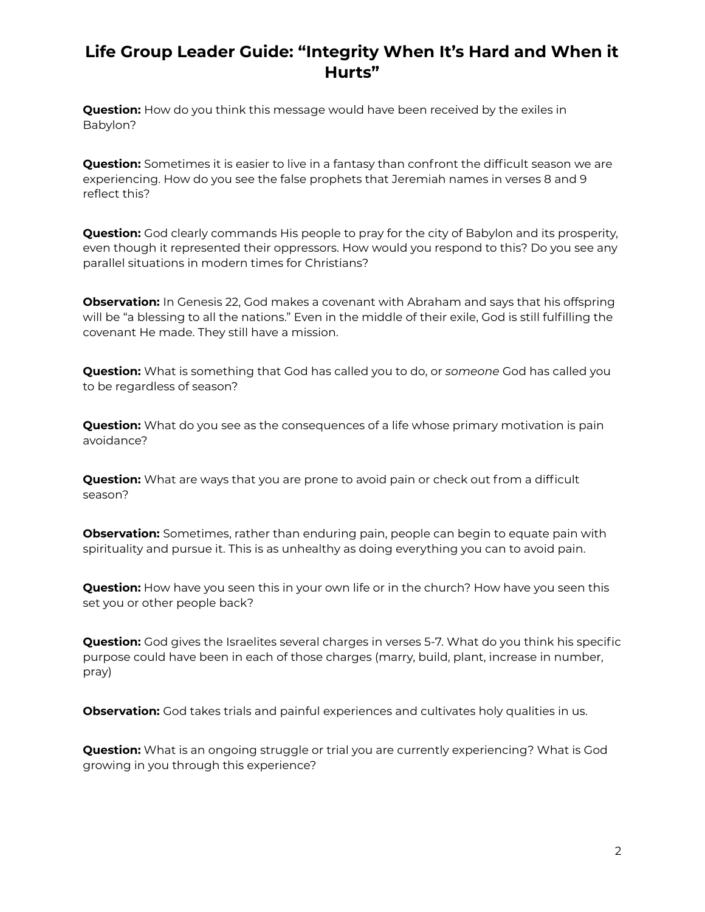### **Life Group Leader Guide: "Integrity When It's Hard and When it Hurts"**

**Question:** How do you think this message would have been received by the exiles in Babylon?

**Question:** Sometimes it is easier to live in a fantasy than confront the difficult season we are experiencing. How do you see the false prophets that Jeremiah names in verses 8 and 9 reflect this?

**Question:** God clearly commands His people to pray for the city of Babylon and its prosperity, even though it represented their oppressors. How would you respond to this? Do you see any parallel situations in modern times for Christians?

**Observation:** In Genesis 22, God makes a covenant with Abraham and says that his offspring will be "a blessing to all the nations." Even in the middle of their exile, God is still fulfilling the covenant He made. They still have a mission.

**Question:** What is something that God has called you to do, or *someone* God has called you to be regardless of season?

**Question:** What do you see as the consequences of a life whose primary motivation is pain avoidance?

**Question:** What are ways that you are prone to avoid pain or check out from a difficult season?

**Observation:** Sometimes, rather than enduring pain, people can begin to equate pain with spirituality and pursue it. This is as unhealthy as doing everything you can to avoid pain.

**Question:** How have you seen this in your own life or in the church? How have you seen this set you or other people back?

**Question:** God gives the Israelites several charges in verses 5-7. What do you think his specific purpose could have been in each of those charges (marry, build, plant, increase in number, pray)

**Observation:** God takes trials and painful experiences and cultivates holy qualities in us.

**Question:** What is an ongoing struggle or trial you are currently experiencing? What is God growing in you through this experience?